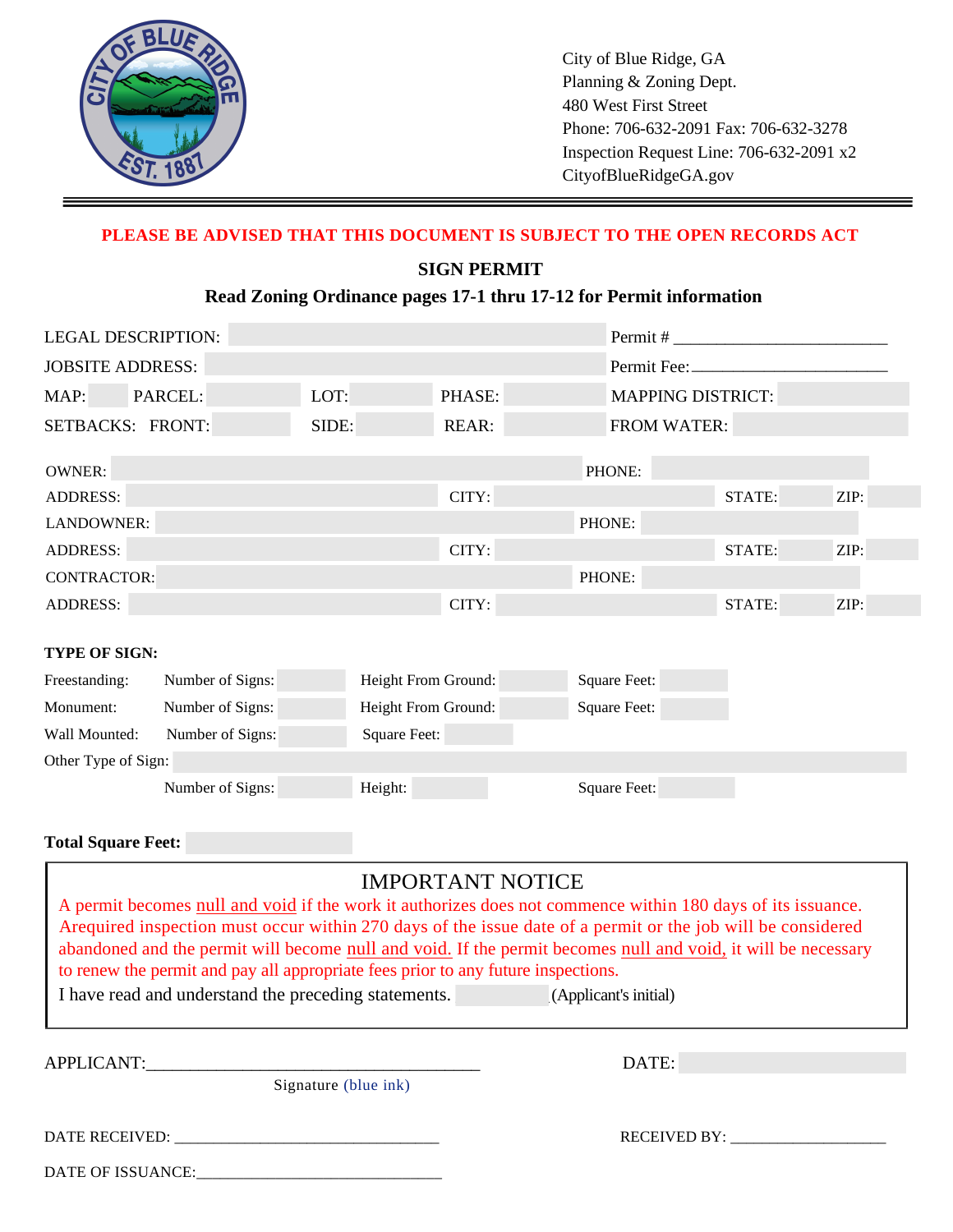

City of Blue Ridge, GA Planning & Zoning Dept. 480 West First Street Phone: 706-632-2091 Fax: 706-632-3278 Inspection Request Line: 706-632-2091 x2 CityofBlueRidgeGA.gov

# **PLEASE BE ADVISED THAT THIS DOCUMENT IS SUBJECT TO THE OPEN RECORDS ACT**

### **SIGN PERMIT**

# Read Zoning Ordinance pages 17-1 thru 17-12 for Permit information

|                         | <b>LEGAL DESCRIPTION:</b> |                     |                     |  |                          |        |      |  |
|-------------------------|---------------------------|---------------------|---------------------|--|--------------------------|--------|------|--|
| <b>JOBSITE ADDRESS:</b> |                           |                     |                     |  | Permit Fee:              |        |      |  |
| MAP:                    | PARCEL:                   | LOT:                | PHASE:              |  | <b>MAPPING DISTRICT:</b> |        |      |  |
| SETBACKS: FRONT:        |                           | SIDE:               | <b>REAR:</b>        |  | <b>FROM WATER:</b>       |        |      |  |
| <b>OWNER:</b>           |                           |                     |                     |  | PHONE:                   |        |      |  |
| <b>ADDRESS:</b>         |                           |                     | CITY:               |  |                          | STATE: | ZIP: |  |
| LANDOWNER:              |                           |                     |                     |  | PHONE:                   |        |      |  |
| <b>ADDRESS:</b>         |                           |                     | CITY:               |  |                          | STATE: | ZIP: |  |
| <b>CONTRACTOR:</b>      |                           |                     |                     |  | PHONE:                   |        |      |  |
| <b>ADDRESS:</b>         |                           |                     | CITY:               |  |                          | STATE: | ZIP: |  |
| TYPE OF SIGN:           |                           |                     |                     |  |                          |        |      |  |
| Freestanding:           | Number of Signs:          |                     | Height From Ground: |  | <b>Square Feet:</b>      |        |      |  |
| Monument:               | Number of Signs:          |                     | Height From Ground: |  | <b>Square Feet:</b>      |        |      |  |
| Wall Mounted:           | Number of Signs:          | <b>Square Feet:</b> |                     |  |                          |        |      |  |
| Other Type of Sign:     |                           |                     |                     |  |                          |        |      |  |
|                         | Number of Signs:          | Height:             |                     |  | Square Feet:             |        |      |  |
|                         |                           |                     |                     |  |                          |        |      |  |

# **Total Square Feet:**

| <b>IMPORTANT NOTICE</b><br>A permit becomes null and void if the work it authorizes does not commence within 180 days of its issuance.<br>Arequired inspection must occur within 270 days of the issue date of a permit or the job will be considered<br>abandoned and the permit will become null and void. If the permit becomes null and void, it will be necessary<br>to renew the permit and pay all appropriate fees prior to any future inspections. |              |  |  |  |  |  |
|-------------------------------------------------------------------------------------------------------------------------------------------------------------------------------------------------------------------------------------------------------------------------------------------------------------------------------------------------------------------------------------------------------------------------------------------------------------|--------------|--|--|--|--|--|
| I have read and understand the preceding statements.<br>(Applicant's initial)                                                                                                                                                                                                                                                                                                                                                                               |              |  |  |  |  |  |
| APPLICANT:                                                                                                                                                                                                                                                                                                                                                                                                                                                  | DATE:        |  |  |  |  |  |
| Signature (blue ink)                                                                                                                                                                                                                                                                                                                                                                                                                                        |              |  |  |  |  |  |
| DATE RECEIVED:<br>DATE OF ISSUANCE:                                                                                                                                                                                                                                                                                                                                                                                                                         | RECEIVED BY: |  |  |  |  |  |